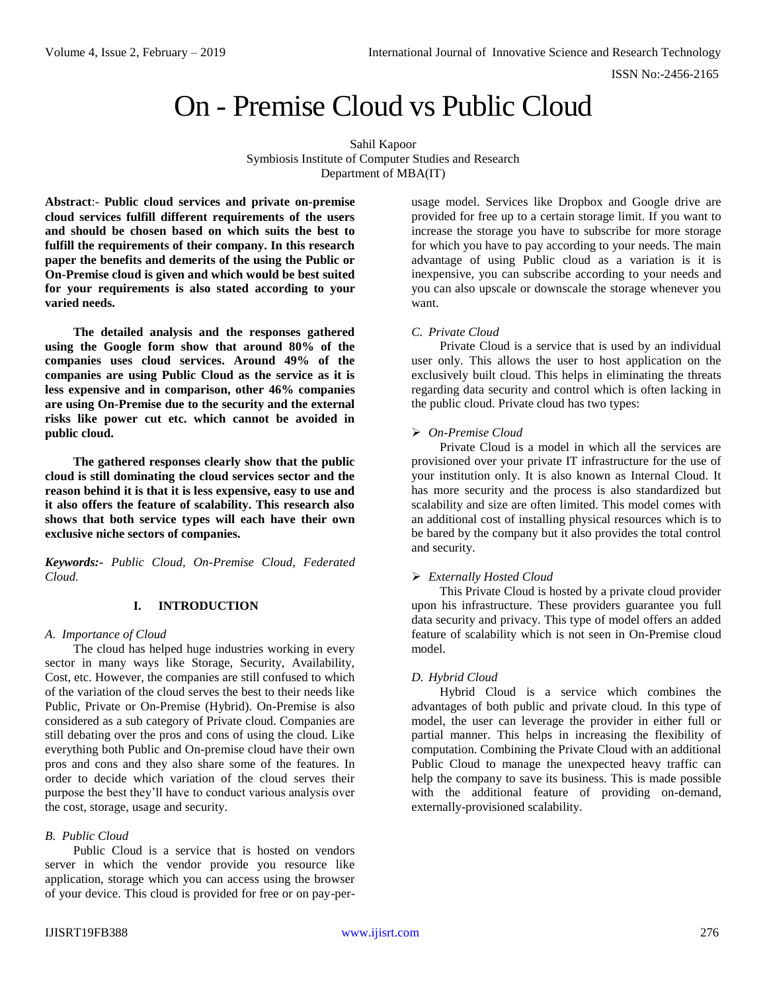ISSN No:-2456-2165

# On - Premise Cloud vs Public Cloud

Sahil Kapoor Symbiosis Institute of Computer Studies and Research Department of MBA(IT)

**Abstract**:- **Public cloud services and private on-premise cloud services fulfill different requirements of the users and should be chosen based on which suits the best to fulfill the requirements of their company. In this research paper the benefits and demerits of the using the Public or On-Premise cloud is given and which would be best suited for your requirements is also stated according to your varied needs.** 

**The detailed analysis and the responses gathered using the Google form show that around 80% of the companies uses cloud services. Around 49% of the companies are using Public Cloud as the service as it is less expensive and in comparison, other 46% companies are using On-Premise due to the security and the external risks like power cut etc. which cannot be avoided in public cloud.** 

**The gathered responses clearly show that the public cloud is still dominating the cloud services sector and the reason behind it is that it is less expensive, easy to use and it also offers the feature of scalability. This research also shows that both service types will each have their own exclusive niche sectors of companies.**

*Keywords:- Public Cloud, On-Premise Cloud, Federated Cloud.*

# **I. INTRODUCTION**

#### *A. Importance of Cloud*

The cloud has helped huge industries working in every sector in many ways like Storage, Security, Availability, Cost, etc. However, the companies are still confused to which of the variation of the cloud serves the best to their needs like Public, Private or On-Premise (Hybrid). On-Premise is also considered as a sub category of Private cloud. Companies are still debating over the pros and cons of using the cloud. Like everything both Public and On-premise cloud have their own pros and cons and they also share some of the features. In order to decide which variation of the cloud serves their purpose the best they'll have to conduct various analysis over the cost, storage, usage and security.

#### *B. Public Cloud*

Public Cloud is a service that is hosted on vendors server in which the vendor provide you resource like application, storage which you can access using the browser of your device. This cloud is provided for free or on pay-perusage model. Services like Dropbox and Google drive are provided for free up to a certain storage limit. If you want to increase the storage you have to subscribe for more storage for which you have to pay according to your needs. The main advantage of using Public cloud as a variation is it is inexpensive, you can subscribe according to your needs and you can also upscale or downscale the storage whenever you want.

#### *C. Private Cloud*

Private Cloud is a service that is used by an individual user only. This allows the user to host application on the exclusively built cloud. This helps in eliminating the threats regarding data security and control which is often lacking in the public cloud. Private cloud has two types:

#### *On-Premise Cloud*

Private Cloud is a model in which all the services are provisioned over your private IT infrastructure for the use of your institution only. It is also known as Internal Cloud. It has more security and the process is also standardized but scalability and size are often limited. This model comes with an additional cost of installing physical resources which is to be bared by the company but it also provides the total control and security.

#### *Externally Hosted Cloud*

This Private Cloud is hosted by a private cloud provider upon his infrastructure. These providers guarantee you full data security and privacy. This type of model offers an added feature of scalability which is not seen in On-Premise cloud model.

# *D. Hybrid Cloud*

Hybrid Cloud is a service which combines the advantages of both public and private cloud. In this type of model, the user can leverage the provider in either full or partial manner. This helps in increasing the flexibility of computation. Combining the Private Cloud with an additional Public Cloud to manage the unexpected heavy traffic can help the company to save its business. This is made possible with the additional feature of providing on-demand, externally-provisioned scalability.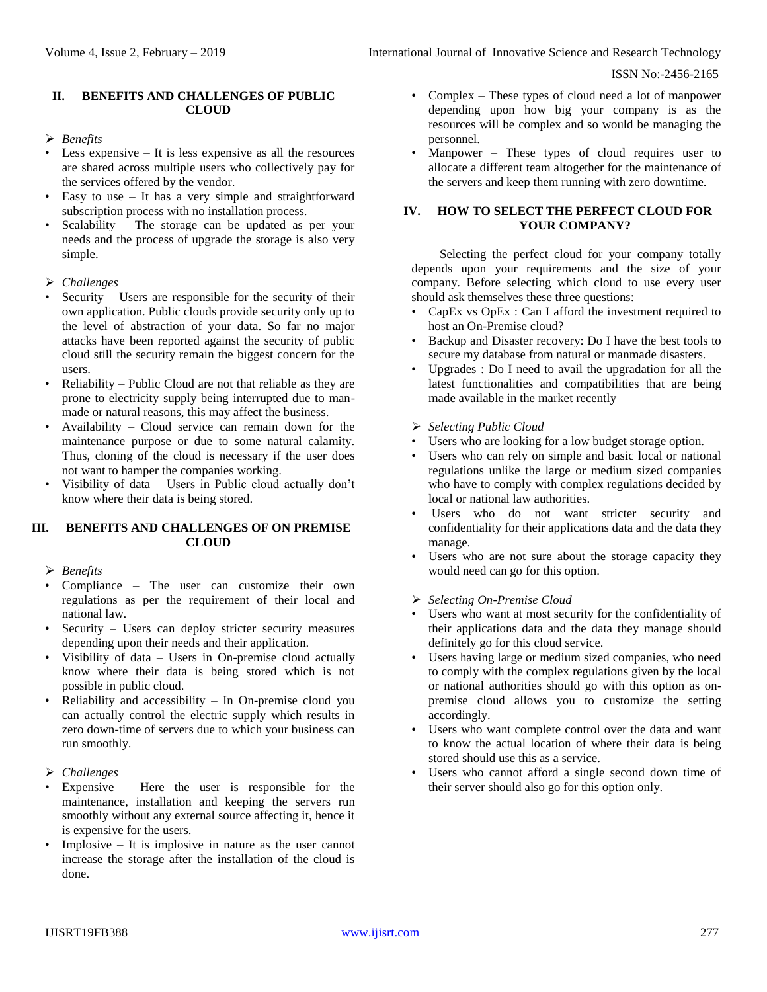ISSN No:-2456-2165

# **II. BENEFITS AND CHALLENGES OF PUBLIC CLOUD**

# *Benefits*

- Less expensive It is less expensive as all the resources are shared across multiple users who collectively pay for the services offered by the vendor.
- Easy to use It has a very simple and straightforward subscription process with no installation process.
- Scalability The storage can be updated as per your needs and the process of upgrade the storage is also very simple.

# *Challenges*

- Security Users are responsible for the security of their own application. Public clouds provide security only up to the level of abstraction of your data. So far no major attacks have been reported against the security of public cloud still the security remain the biggest concern for the users.
- Reliability Public Cloud are not that reliable as they are prone to electricity supply being interrupted due to manmade or natural reasons, this may affect the business.
- Availability Cloud service can remain down for the maintenance purpose or due to some natural calamity. Thus, cloning of the cloud is necessary if the user does not want to hamper the companies working.
- Visibility of data Users in Public cloud actually don't know where their data is being stored.

# **III. BENEFITS AND CHALLENGES OF ON PREMISE CLOUD**

# *Benefits*

- Compliance The user can customize their own regulations as per the requirement of their local and national law.
- Security Users can deploy stricter security measures depending upon their needs and their application.
- Visibility of data Users in On-premise cloud actually know where their data is being stored which is not possible in public cloud.
- Reliability and accessibility  $-$  In On-premise cloud you can actually control the electric supply which results in zero down-time of servers due to which your business can run smoothly.
- *Challenges*
- Expensive Here the user is responsible for the maintenance, installation and keeping the servers run smoothly without any external source affecting it, hence it is expensive for the users.
- Implosive  $-$  It is implosive in nature as the user cannot increase the storage after the installation of the cloud is done.
- Complex These types of cloud need a lot of manpower depending upon how big your company is as the resources will be complex and so would be managing the personnel.
- Manpower These types of cloud requires user to allocate a different team altogether for the maintenance of the servers and keep them running with zero downtime.

# **IV. HOW TO SELECT THE PERFECT CLOUD FOR YOUR COMPANY?**

Selecting the perfect cloud for your company totally depends upon your requirements and the size of your company. Before selecting which cloud to use every user should ask themselves these three questions:

- CapEx vs OpEx : Can I afford the investment required to host an On-Premise cloud?
- Backup and Disaster recovery: Do I have the best tools to secure my database from natural or manmade disasters.
- Upgrades : Do I need to avail the upgradation for all the latest functionalities and compatibilities that are being made available in the market recently
- *Selecting Public Cloud*
- Users who are looking for a low budget storage option.
- Users who can rely on simple and basic local or national regulations unlike the large or medium sized companies who have to comply with complex regulations decided by local or national law authorities.
- Users who do not want stricter security and confidentiality for their applications data and the data they manage.
- Users who are not sure about the storage capacity they would need can go for this option.
- *Selecting On-Premise Cloud*
- Users who want at most security for the confidentiality of their applications data and the data they manage should definitely go for this cloud service.
- Users having large or medium sized companies, who need to comply with the complex regulations given by the local or national authorities should go with this option as onpremise cloud allows you to customize the setting accordingly.
- Users who want complete control over the data and want to know the actual location of where their data is being stored should use this as a service.
- Users who cannot afford a single second down time of their server should also go for this option only.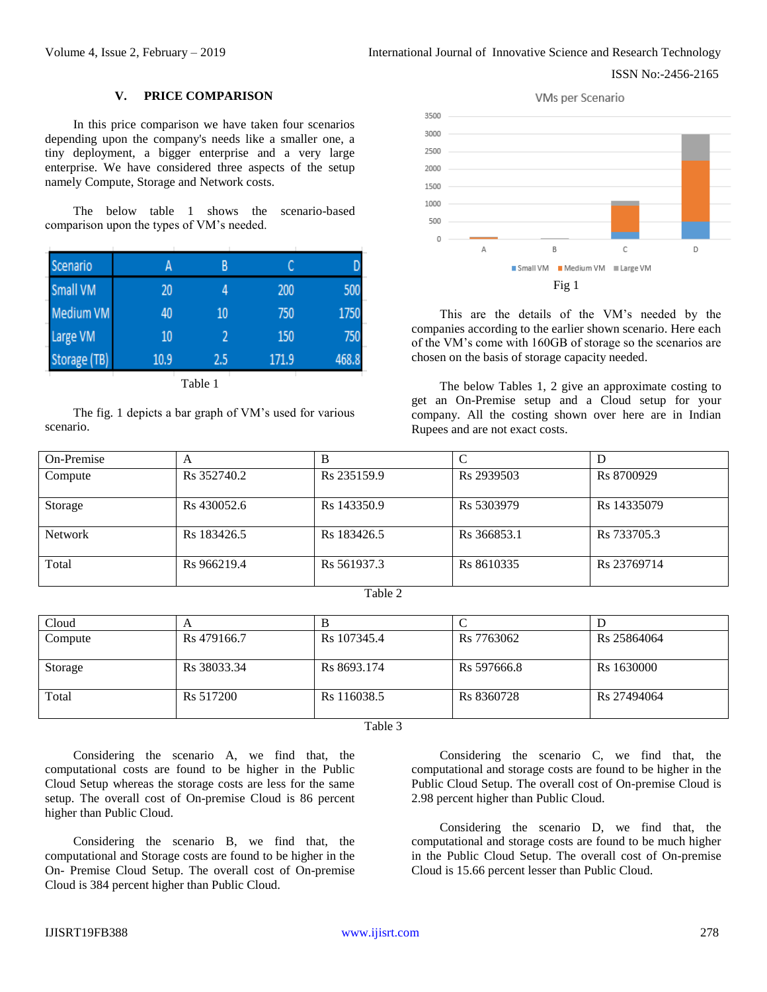#### ISSN No:-2456-2165

#### **V. PRICE COMPARISON**

In this price comparison we have taken four scenarios depending upon the company's needs like a smaller one, a tiny deployment, a bigger enterprise and a very large enterprise. We have considered three aspects of the setup namely Compute, Storage and Network costs.

The below table 1 shows the scenario-based comparison upon the types of VM's needed.

| Scenario     |      | B   |       |       |
|--------------|------|-----|-------|-------|
| Small VM     | 20   |     | 200   | 500   |
| Medium VM    | 40   | 10  | 750   | 1750  |
| Large VM     | 10   |     | 150   | 750   |
| Storage (TB) | 10.9 | 2.5 | 171.9 | 468.8 |

Table 1

The fig. 1 depicts a bar graph of VM's used for various scenario.



This are the details of the VM's needed by the companies according to the earlier shown scenario. Here each of the VM's come with 160GB of storage so the scenarios are chosen on the basis of storage capacity needed.

The below Tables 1, 2 give an approximate costing to get an On-Premise setup and a Cloud setup for your company. All the costing shown over here are in Indian Rupees and are not exact costs.

| On-Premise     | A                       |                         |                        |                         |
|----------------|-------------------------|-------------------------|------------------------|-------------------------|
| Compute        | R <sub>s</sub> 352740.2 | R <sub>s</sub> 235159.9 | R <sub>s</sub> 2939503 | R <sub>s</sub> 8700929  |
| Storage        | R <sub>s</sub> 430052.6 | R <sub>s</sub> 143350.9 | R <sub>s</sub> 5303979 | R <sub>s</sub> 14335079 |
| <b>Network</b> | R <sub>s</sub> 183426.5 | R <sub>s</sub> 183426.5 | Rs 366853.1            | Rs 733705.3             |
| Total          | Rs 966219.4             | R <sub>s</sub> 561937.3 | Rs 8610335             | Rs 23769714             |

| a.<br>۹<br>×<br>۰, |  |
|--------------------|--|
|--------------------|--|

| Cloud   | A                       |                         |                         |                         |
|---------|-------------------------|-------------------------|-------------------------|-------------------------|
| Compute | Rs 479166.7             | R <sub>s</sub> 107345.4 | Rs 7763062              | R <sub>s</sub> 25864064 |
|         |                         |                         |                         |                         |
| Storage | R <sub>s</sub> 38033.34 | R <sub>s</sub> 8693.174 | R <sub>s</sub> 597666.8 | R <sub>s</sub> 1630000  |
|         |                         |                         |                         |                         |
| Total   | Rs 517200               | R <sub>s</sub> 116038.5 | R <sub>s</sub> 8360728  | R <sub>s</sub> 27494064 |
|         |                         |                         |                         |                         |

#### Table 3

Considering the scenario A, we find that, the computational costs are found to be higher in the Public Cloud Setup whereas the storage costs are less for the same setup. The overall cost of On-premise Cloud is 86 percent higher than Public Cloud.

Considering the scenario B, we find that, the computational and Storage costs are found to be higher in the On- Premise Cloud Setup. The overall cost of On-premise Cloud is 384 percent higher than Public Cloud.

Considering the scenario C, we find that, the computational and storage costs are found to be higher in the Public Cloud Setup. The overall cost of On-premise Cloud is 2.98 percent higher than Public Cloud.

Considering the scenario D, we find that, the computational and storage costs are found to be much higher in the Public Cloud Setup. The overall cost of On-premise Cloud is 15.66 percent lesser than Public Cloud.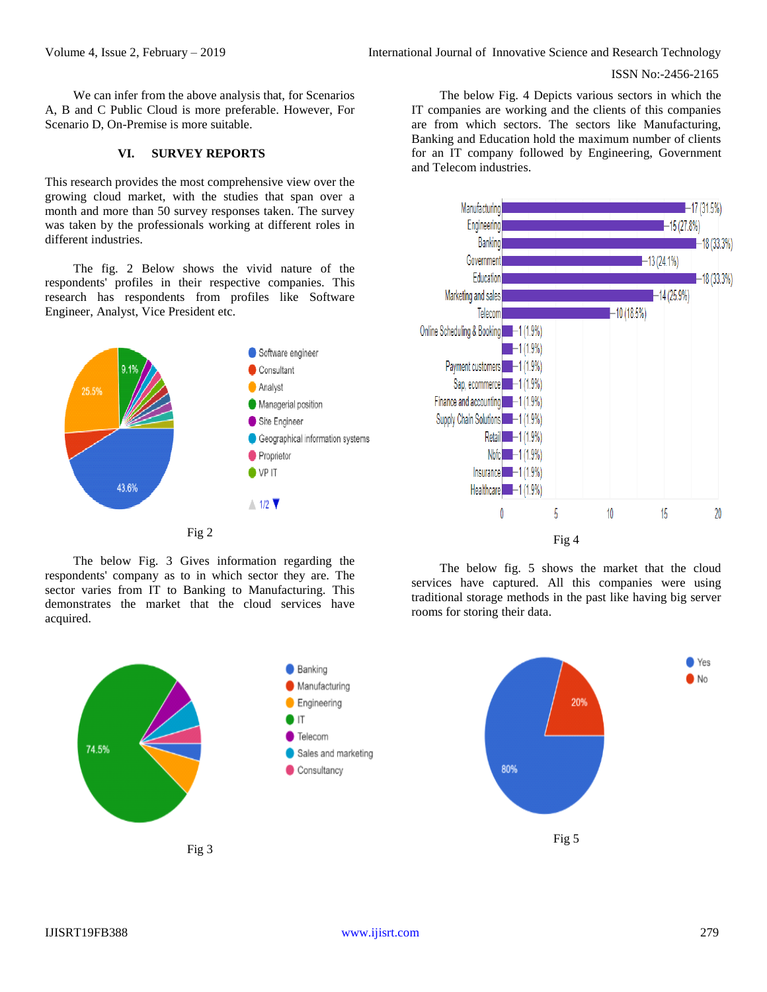We can infer from the above analysis that, for Scenarios A, B and C Public Cloud is more preferable. However, For Scenario D, On-Premise is more suitable.

# **VI. SURVEY REPORTS**

This research provides the most comprehensive view over the growing cloud market, with the studies that span over a month and more than 50 survey responses taken. The survey was taken by the professionals working at different roles in different industries.

The fig. 2 Below shows the vivid nature of the respondents' profiles in their respective companies. This research has respondents from profiles like Software Engineer, Analyst, Vice President etc.



The below Fig. 3 Gives information regarding the respondents' company as to in which sector they are. The sector varies from IT to Banking to Manufacturing. This demonstrates the market that the cloud services have acquired.

The below Fig. 4 Depicts various sectors in which the IT companies are working and the clients of this companies are from which sectors. The sectors like Manufacturing, Banking and Education hold the maximum number of clients for an IT company followed by Engineering, Government and Telecom industries.



The below fig. 5 shows the market that the cloud services have captured. All this companies were using traditional storage methods in the past like having big server rooms for storing their data.

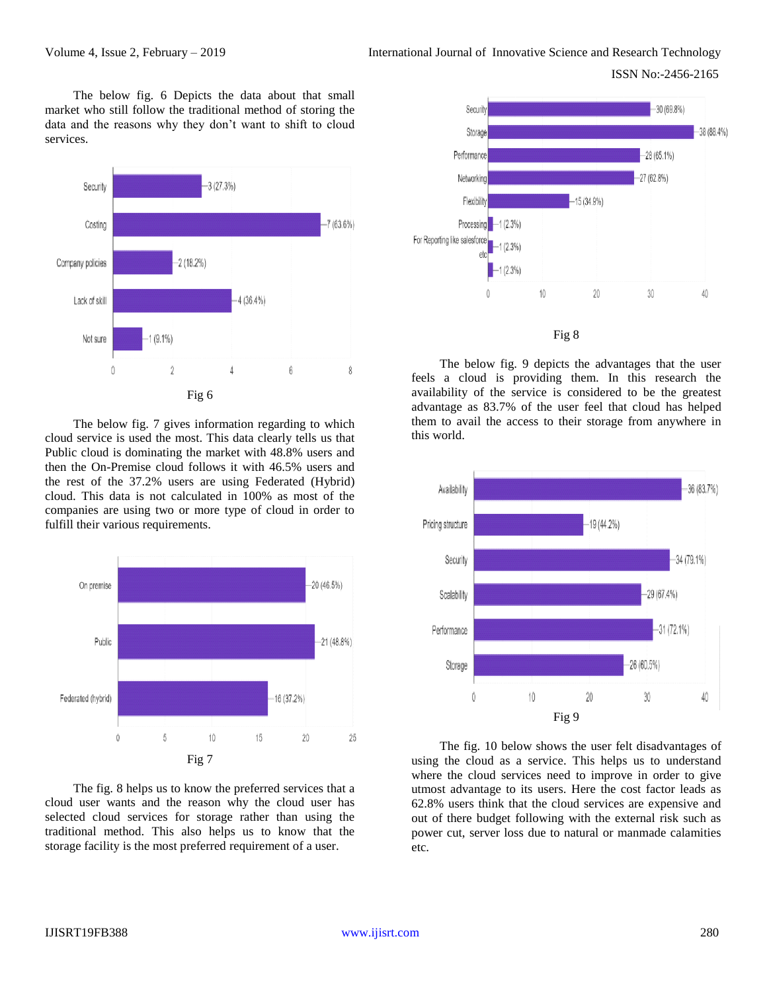ISSN No:-2456-2165

The below fig. 6 Depicts the data about that small market who still follow the traditional method of storing the data and the reasons why they don't want to shift to cloud services.



The below fig. 7 gives information regarding to which cloud service is used the most. This data clearly tells us that Public cloud is dominating the market with 48.8% users and then the On-Premise cloud follows it with 46.5% users and the rest of the 37.2% users are using Federated (Hybrid) cloud. This data is not calculated in 100% as most of the companies are using two or more type of cloud in order to fulfill their various requirements.



The fig. 8 helps us to know the preferred services that a cloud user wants and the reason why the cloud user has selected cloud services for storage rather than using the traditional method. This also helps us to know that the storage facility is the most preferred requirement of a user.



The below fig. 9 depicts the advantages that the user feels a cloud is providing them. In this research the availability of the service is considered to be the greatest advantage as 83.7% of the user feel that cloud has helped them to avail the access to their storage from anywhere in this world.



The fig. 10 below shows the user felt disadvantages of using the cloud as a service. This helps us to understand where the cloud services need to improve in order to give utmost advantage to its users. Here the cost factor leads as 62.8% users think that the cloud services are expensive and out of there budget following with the external risk such as power cut, server loss due to natural or manmade calamities etc.